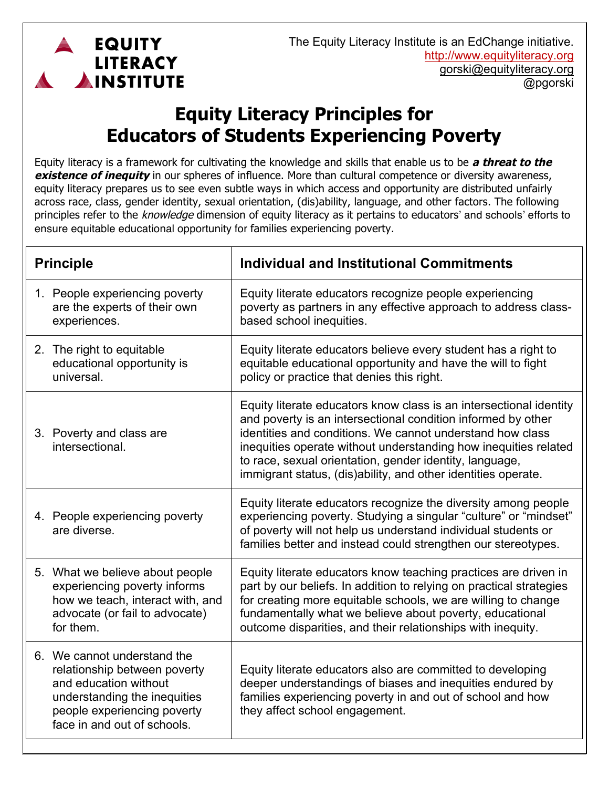

## **Equity Literacy Principles for Educators of Students Experiencing Poverty**

Equity literacy is a framework for cultivating the knowledge and skills that enable us to be **a threat to the existence of inequity** in our spheres of influence. More than cultural competence or diversity awareness, equity literacy prepares us to see even subtle ways in which access and opportunity are distributed unfairly across race, class, gender identity, sexual orientation, (dis)ability, language, and other factors. The following principles refer to the knowledge dimension of equity literacy as it pertains to educators' and schools' efforts to ensure equitable educational opportunity for families experiencing poverty.

| <b>Principle</b> |                                                                                                                                                                                    | <b>Individual and Institutional Commitments</b>                                                                                                                                                                                                                                                                                                                                                |
|------------------|------------------------------------------------------------------------------------------------------------------------------------------------------------------------------------|------------------------------------------------------------------------------------------------------------------------------------------------------------------------------------------------------------------------------------------------------------------------------------------------------------------------------------------------------------------------------------------------|
|                  | 1. People experiencing poverty<br>are the experts of their own<br>experiences.                                                                                                     | Equity literate educators recognize people experiencing<br>poverty as partners in any effective approach to address class-<br>based school inequities.                                                                                                                                                                                                                                         |
|                  | 2. The right to equitable<br>educational opportunity is<br>universal.                                                                                                              | Equity literate educators believe every student has a right to<br>equitable educational opportunity and have the will to fight<br>policy or practice that denies this right.                                                                                                                                                                                                                   |
|                  | 3. Poverty and class are<br>intersectional.                                                                                                                                        | Equity literate educators know class is an intersectional identity<br>and poverty is an intersectional condition informed by other<br>identities and conditions. We cannot understand how class<br>inequities operate without understanding how inequities related<br>to race, sexual orientation, gender identity, language,<br>immigrant status, (dis)ability, and other identities operate. |
|                  | 4. People experiencing poverty<br>are diverse.                                                                                                                                     | Equity literate educators recognize the diversity among people<br>experiencing poverty. Studying a singular "culture" or "mindset"<br>of poverty will not help us understand individual students or<br>families better and instead could strengthen our stereotypes.                                                                                                                           |
|                  | 5. What we believe about people<br>experiencing poverty informs<br>how we teach, interact with, and<br>advocate (or fail to advocate)<br>for them.                                 | Equity literate educators know teaching practices are driven in<br>part by our beliefs. In addition to relying on practical strategies<br>for creating more equitable schools, we are willing to change<br>fundamentally what we believe about poverty, educational<br>outcome disparities, and their relationships with inequity.                                                             |
|                  | 6. We cannot understand the<br>relationship between poverty<br>and education without<br>understanding the inequities<br>people experiencing poverty<br>face in and out of schools. | Equity literate educators also are committed to developing<br>deeper understandings of biases and inequities endured by<br>families experiencing poverty in and out of school and how<br>they affect school engagement.                                                                                                                                                                        |